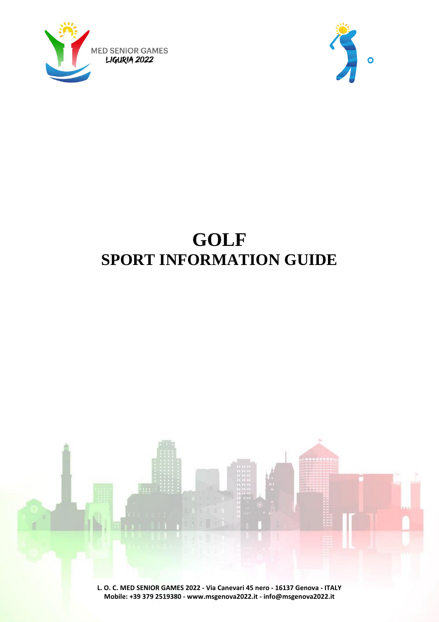



# **GOLF SPORT INFORMATION GUIDE**

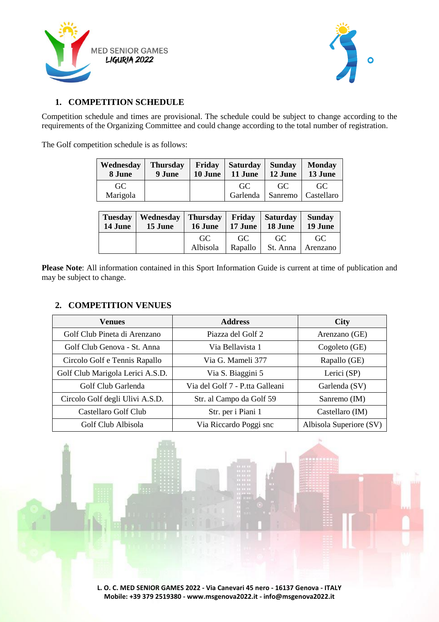



# **1. COMPETITION SCHEDULE**

Competition schedule and times are provisional. The schedule could be subject to change according to the requirements of the Organizing Committee and could change according to the total number of registration.

The Golf competition schedule is as follows:

| Wednesday       | <b>Thursday</b> | Friday  | <b>Saturday</b> | <b>Sunday</b>  | <b>Monday</b>     |
|-----------------|-----------------|---------|-----------------|----------------|-------------------|
| 8 June          | 9 June          | 10 June | 11 June         | 12 June        | 13 June           |
| GC.<br>Marigola |                 |         | GC.<br>Garlenda | GC.<br>Sanremo | GC.<br>Castellaro |

| <b>Tuesday</b><br>14 June | Wednesday   Thursday   Friday<br>15 June | 16 June         | 17 June        | <i>Saturday</i><br>18 June | <b>Sunday</b><br>19 June |
|---------------------------|------------------------------------------|-----------------|----------------|----------------------------|--------------------------|
|                           |                                          | GC.<br>Albisola | GC.<br>Rapallo | GC.<br>St. Anna            | GC.<br>Arenzano          |

**Please Note**: All information contained in this Sport Information Guide is current at time of publication and may be subject to change.

# **2. COMPETITION VENUES**

| <b>Venues</b>                    | <b>Address</b>                  | <b>City</b>             |
|----------------------------------|---------------------------------|-------------------------|
| Golf Club Pineta di Arenzano     | Piazza del Golf 2               | Arenzano (GE)           |
| Golf Club Genova - St. Anna      | Via Bellavista 1                | Cogoleto (GE)           |
| Circolo Golf e Tennis Rapallo    | Via G. Mameli 377               | Rapallo (GE)            |
| Golf Club Marigola Lerici A.S.D. | Via S. Biaggini 5               | Lerici (SP)             |
| Golf Club Garlenda               | Via del Golf 7 - P.tta Galleani | Garlenda (SV)           |
| Circolo Golf degli Ulivi A.S.D.  | Str. al Campo da Golf 59        | Sanremo (IM)            |
| Castellaro Golf Club             | Str. per i Piani 1              | Castellaro (IM)         |
| Golf Club Albisola               | Via Riccardo Poggi snc          | Albisola Superiore (SV) |

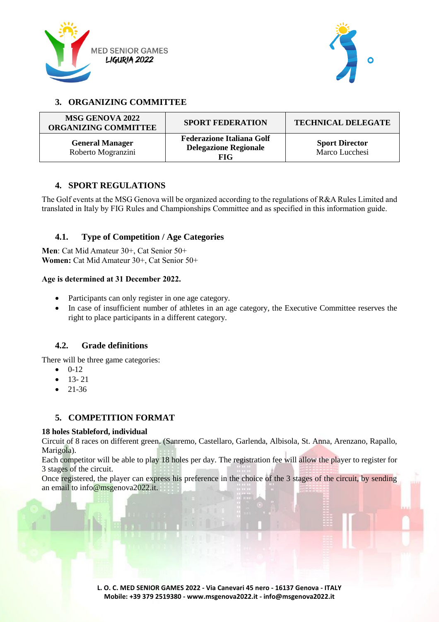



# **3. ORGANIZING COMMITTEE**

| <b>MSG GENOVA 2022</b><br><b>ORGANIZING COMMITTEE</b> | <b>SPORT FEDERATION</b>                                                 | <b>TECHNICAL DELEGATE</b>               |
|-------------------------------------------------------|-------------------------------------------------------------------------|-----------------------------------------|
| <b>General Manager</b><br>Roberto Mogranzini          | <b>Federazione Italiana Golf</b><br><b>Delegazione Regionale</b><br>FIG | <b>Sport Director</b><br>Marco Lucchesi |

# **4. SPORT REGULATIONS**

The Golf events at the MSG Genova will be organized according to the regulations of R&A Rules Limited and translated in Italy by FIG Rules and Championships Committee and as specified in this information guide.

# **4.1. Type of Competition / Age Categories**

**Men**: Cat Mid Amateur 30+, Cat Senior 50+ **Women:** Cat Mid Amateur 30+, Cat Senior 50+

## **Age is determined at 31 December 2022.**

- Participants can only register in one age category.
- In case of insufficient number of athletes in an age category, the Executive Committee reserves the right to place participants in a different category.

# **4.2. Grade definitions**

There will be three game categories:

- $\bullet$  0-12
- $-13-21$
- 21-36

# **5. COMPETITION FORMAT**

## **18 holes Stableford, individual**

Circuit of 8 races on different green. (Sanremo, Castellaro, Garlenda, Albisola, St. Anna, Arenzano, Rapallo, Marigola).

Each competitor will be able to play 18 holes per day. The registration fee will allow the player to register for 3 stages of the circuit.

Once registered, the player can express his preference in the choice of the 3 stages of the circuit, by sending an email to info@msgenova2022.it.

> **L. O. C. MED SENIOR GAMES 2022 - Via Canevari 45 nero - 16137 Genova - ITALY Mobile: +39 379 2519380 - www.msgenova2022.it - info@msgenova2022.it**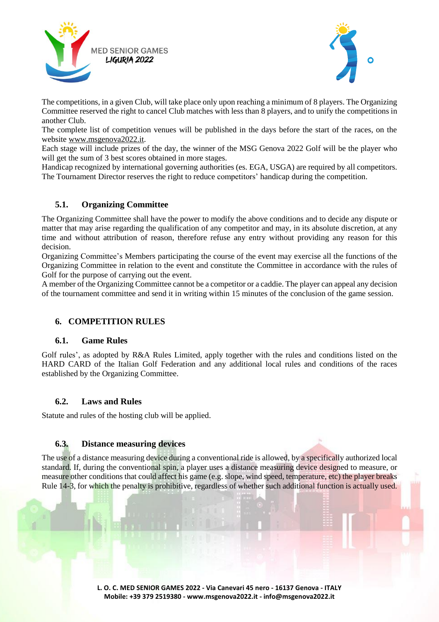



The competitions, in a given Club, will take place only upon reaching a minimum of 8 players. The Organizing Committee reserved the right to cancel Club matches with less than 8 players, and to unify the competitions in another Club.

The complete list of competition venues will be published in the days before the start of the races, on the website www.msgenova2022.it.

Each stage will include prizes of the day, the winner of the MSG Genova 2022 Golf will be the player who will get the sum of 3 best scores obtained in more stages.

Handicap recognized by international governing authorities (es. EGA, USGA) are required by all competitors. The Tournament Director reserves the right to reduce competitors' handicap during the competition.

## **5.1. Organizing Committee**

The Organizing Committee shall have the power to modify the above conditions and to decide any dispute or matter that may arise regarding the qualification of any competitor and may, in its absolute discretion, at any time and without attribution of reason, therefore refuse any entry without providing any reason for this decision.

Organizing Committee's Members participating the course of the event may exercise all the functions of the Organizing Committee in relation to the event and constitute the Committee in accordance with the rules of Golf for the purpose of carrying out the event.

A member of the Organizing Committee cannot be a competitor or a caddie. The player can appeal any decision of the tournament committee and send it in writing within 15 minutes of the conclusion of the game session.

# **6. COMPETITION RULES**

## **6.1. Game Rules**

Golf rules', as adopted by R&A Rules Limited, apply together with the rules and conditions listed on the HARD CARD of the Italian Golf Federation and any additional local rules and conditions of the races established by the Organizing Committee.

## **6.2. Laws and Rules**

Statute and rules of the hosting club will be applied.

## **6.3. Distance measuring devices**

The use of a distance measuring device during a conventional ride is allowed, by a specifically authorized local standard. If, during the conventional spin, a player uses a distance measuring device designed to measure, or measure other conditions that could affect his game (e.g. slope, wind speed, temperature, etc) the player breaks Rule 14-3, for which the penalty is prohibitive, regardless of whether such additional function is actually used.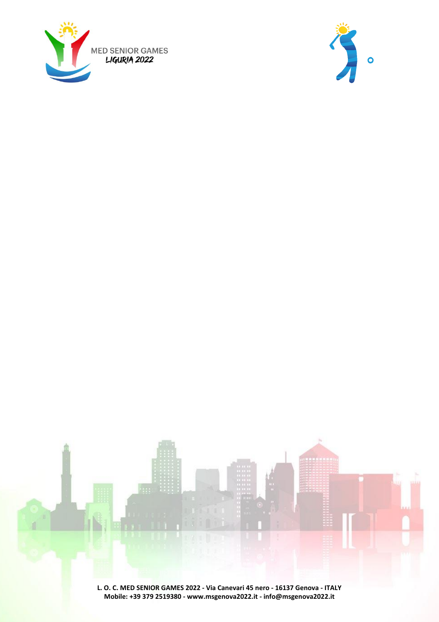





**Mobile: +39 379 2519380 - www.msgenova2022.it - info@msgenova2022.it**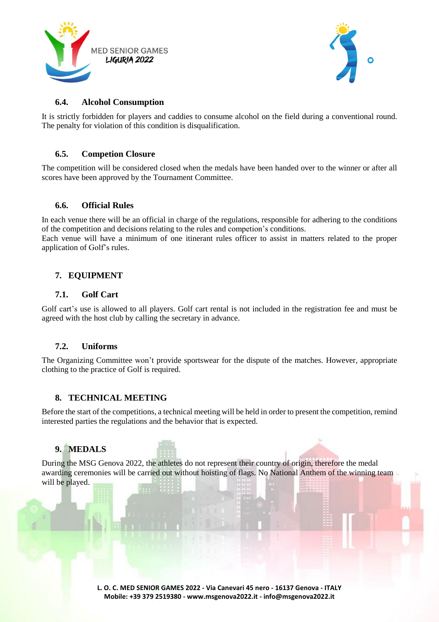



## **6.4. Alcohol Consumption**

It is strictly forbidden for players and caddies to consume alcohol on the field during a conventional round. The penalty for violation of this condition is disqualification.

## **6.5. Competion Closure**

The competition will be considered closed when the medals have been handed over to the winner or after all scores have been approved by the Tournament Committee.

## **6.6. Official Rules**

In each venue there will be an official in charge of the regulations, responsible for adhering to the conditions of the competition and decisions relating to the rules and competion's conditions.

Each venue will have a minimum of one itinerant rules officer to assist in matters related to the proper application of Golf's rules.

# **7. EQUIPMENT**

## **7.1. Golf Cart**

Golf cart's use is allowed to all players. Golf cart rental is not included in the registration fee and must be agreed with the host club by calling the secretary in advance.

## **7.2. Uniforms**

The Organizing Committee won't provide sportswear for the dispute of the matches. However, appropriate clothing to the practice of Golf is required.

## **8. TECHNICAL MEETING**

Before the start of the competitions, a technical meeting will be held in order to present the competition, remind interested parties the regulations and the behavior that is expected.

# **9. MEDALS**

During the MSG Genova 2022, the athletes do not represent their country of origin, therefore the medal awarding ceremonies will be carried out without hoisting of flags. No National Anthem of the winning team will be played.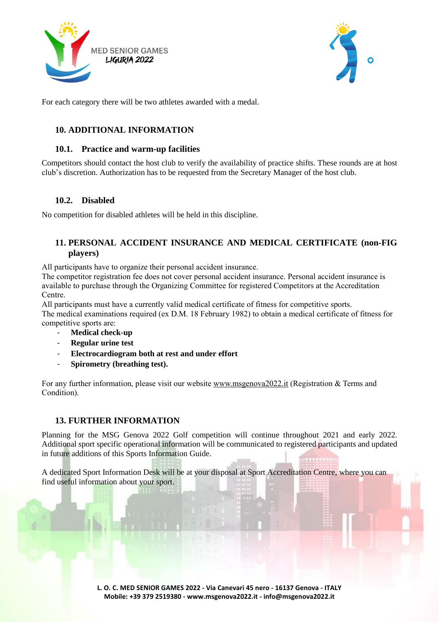



For each category there will be two athletes awarded with a medal.

## **10. ADDITIONAL INFORMATION**

## **10.1. Practice and warm-up facilities**

Competitors should contact the host club to verify the availability of practice shifts. These rounds are at host club's discretion. Authorization has to be requested from the Secretary Manager of the host club.

## **10.2. Disabled**

No competition for disabled athletes will be held in this discipline.

# **11. PERSONAL ACCIDENT INSURANCE AND MEDICAL CERTIFICATE (non-FIG players)**

All participants have to organize their personal accident insurance.

The competitor registration fee does not cover personal accident insurance. Personal accident insurance is available to purchase through the Organizing Committee for registered Competitors at the Accreditation Centre.

All participants must have a currently valid medical certificate of fitness for competitive sports. The medical examinations required (ex D.M. 18 February 1982) to obtain a medical certificate of fitness for competitive sports are:

- **Medical check-up**
- **Regular urine test**
- **Electrocardiogram both at rest and under effort**
- **Spirometry (breathing test).**

For any further information, please visit our website www.msgenova2022.it (Registration & Terms and Condition).

## **13. FURTHER INFORMATION**

Planning for the MSG Genova 2022 Golf competition will continue throughout 2021 and early 2022. Additional sport specific operational information will be communicated to registered participants and updated in future additions of this Sports Information Guide.

A dedicated Sport Information Desk will be at your disposal at Sport Accreditation Centre, where you can find useful information about your sport.

> **L. O. C. MED SENIOR GAMES 2022 - Via Canevari 45 nero - 16137 Genova - ITALY Mobile: +39 379 2519380 - www.msgenova2022.it - info@msgenova2022.it**